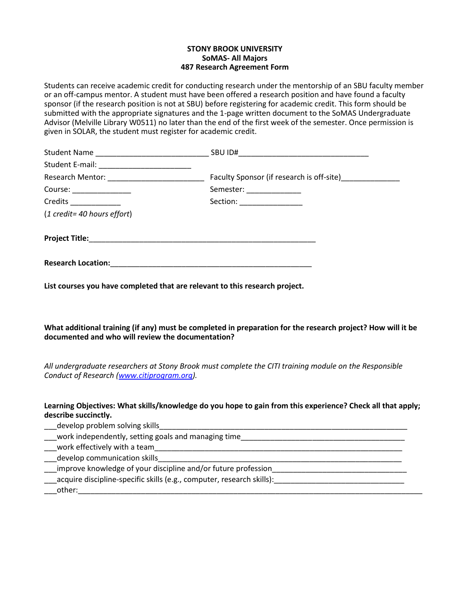## **STONY BROOK UNIVERSITY SoMAS- All Majors 487 Research Agreement Form**

Students can receive academic credit for conducting research under the mentorship of an SBU faculty member or an off-campus mentor. A student must have been offered a research position and have found a faculty sponsor (if the research position is not at SBU) before registering for academic credit. This form should be submitted with the appropriate signatures and the 1-page written document to the SoMAS Undergraduate Advisor (Melville Library W0511) no later than the end of the first week of the semester. Once permission is given in SOLAR, the student must register for academic credit.

|                                                | Faculty Sponsor (if research is off-site) |  |  |
|------------------------------------------------|-------------------------------------------|--|--|
| Course: _______________                        | Semester: ______________                  |  |  |
| Credits ______________                         | Section: _________________                |  |  |
| $(1 \text{ credit} = 40 \text{ hours effort})$ |                                           |  |  |
|                                                |                                           |  |  |
| <b>Research Location:</b>                      |                                           |  |  |

**List courses you have completed that are relevant to this research project.**

**What additional training (if any) must be completed in preparation for the research project? How will it be documented and who will review the documentation?**

*All undergraduate researchers at Stony Brook must complete the CITI training module on the Responsible Conduct of Research [\(www.citiprogram.org\)](http://www.citiprogram.org/).*

| Learning Objectives: What skills/knowledge do you hope to gain from this experience? Check all that apply; |  |
|------------------------------------------------------------------------------------------------------------|--|
| describe succinctly.                                                                                       |  |

- develop problem solving skills
- \_\_\_work independently, setting goals and managing time\_\_\_\_\_\_\_\_\_\_\_\_\_\_\_\_\_\_\_\_\_\_\_\_\_\_\_\_\_\_\_\_\_\_\_\_\_\_\_

\_\_\_work effectively with a team\_\_\_\_\_\_\_\_\_\_\_\_\_\_\_\_\_\_\_\_\_\_\_\_\_\_\_\_\_\_\_\_\_\_\_\_\_\_\_\_\_\_\_\_\_\_\_\_\_\_\_\_\_\_\_\_\_\_\_

- develop communication skills
- improve knowledge of your discipline and/or future profession
- \_\_\_acquire discipline-specific skills (e.g., computer, research skills):\_\_\_\_\_\_\_\_\_\_\_\_\_\_\_\_\_\_\_\_\_\_\_\_\_\_\_\_\_\_\_
- $other:$